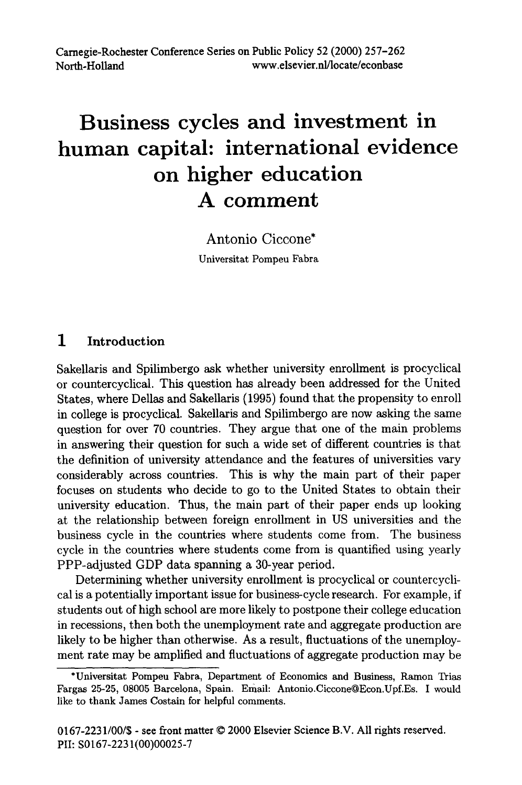Carnegie-Rochester Conference Series on Public Policy 52 (2000) 257-262 North-Holland www.elsevier.nl/locate/econbase

# **Business cycles and investment in human capital: international evidence on higher education A comment**

**Antonio Ciccone\***  Universitat Pompeu Fabra

#### **1 Introduction**

Sakellaris and Spilimbergo ask whether university enrollment is procyclical or countercyclical. This question has already been addressed for the United States, where Dellas and Sakellaris (1995) found that the propensity to enroll in college is procyclical. Sakellaris and Spilimbergo are now asking the same question for over 70 countries. They argue that one of the main problems in answering their question for such a wide set of different countries is that the definition of university attendance and the features of universities vary considerably across countries. This is why the main part of their paper focuses on students who decide to go to the United States to obtain their university education. Thus, the main part of their paper ends up looking at the relationship between foreign enrollment in US universities and the business cycle in the countries where students come from. The business cycle in the countries where students come from is quantified using yearly PPP-adjusted GDP data spanning a 30-year period.

Determining whether university enrollment is procyclical or countercyclical is a potentially important issue for business-cycle research. For example, if students out of high school are more likely to postpone their college education in recessions, then both the unemployment rate and aggregate production are likely to be higher than otherwise. As a result, fluctuations of the unemployment rate may be amplified and fluctuations of aggregate production may be

<sup>\*</sup>Universitat Pompeu Fabra, Department of Economics and Business, Ramon Trias Fargas 25-25, 08005 Barcelona, Spain. Email: Antonio.Ciccone~Econ.Upf.Es. I would like to thank James Costain for helpful comments.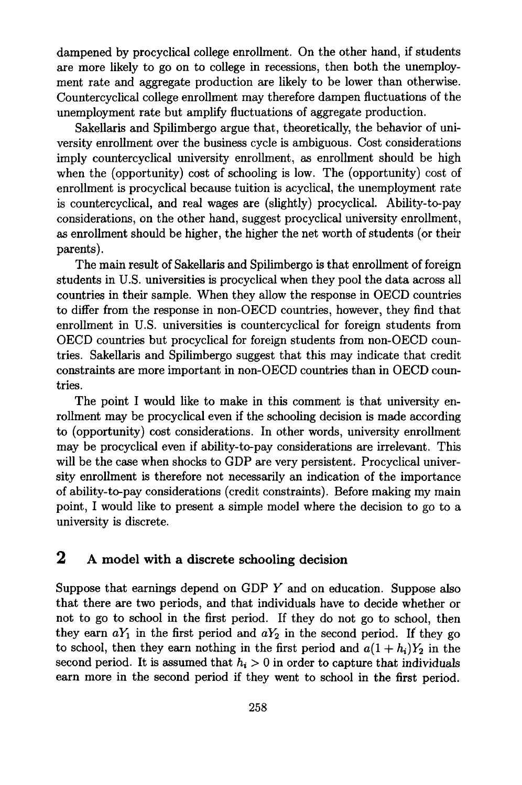dampened by procyclical college enrollment. On the other hand, if students are more likely to go on to college in recessions, then both the unemployment rate and aggregate production are likely to be lower than otherwise. Countercyclical college enrollment may therefore dampen fluctuations of the unemployment rate but amplify fluctuations of aggregate production.

Sakellaris and Spilimbergo argue that, theoretically, the behavior of university enrollment over the business cycle is ambiguous. Cost considerations imply countercyclical university enrollment, as enrollment should be high when the (opportunity) cost of schooling is low. The (opportunity) cost of enrollment is procyclical because tuition is acyclical, the unemployment rate is countercyclical, and real wages are (slightly) procyclical. Ability-to-pay considerations, on the other hand, suggest procyclical university enrollment, as enrollment should be higher, the higher the net worth of students (or their parents).

The main result of Sakellaris and Spilimbergo is that enrollment of foreign students in U.S. universities is procyclical when they pool the data across all countries in their sample. When they allow the response in OECD countries to differ from the response in non-OECD countries, however, they find that enrollment in U.S. universities is countercyclical for foreign students from OECD countries but procyclical for foreign students from non-OECD countries. Sakellaris and Spilimbergo suggest that this may indicate that credit constraints are more important in non-OECD countries than in OECD countries.

The point I would like to make in this comment is that university enrollment may be procyclical even if the schooling decision is made according to (opportunity) cost considerations. In other words, university enrollment may be procyclical even if ability-to-pay considerations are irrelevant. This will be the case when shocks to GDP are very persistent. Procyclical university enrollment is therefore not necessarily an indication of the importance of ability-to-pay considerations (credit constraints). Before making my main point, I would like to present a simple model where the decision to go to a university is discrete.

# 2 A model with a discrete schooling **decision**

Suppose that earnings depend on GDP  $Y$  and on education. Suppose also that there are two periods, and that individuals have to decide whether or not to go to school in the first period. If they do not go to school, then they earn  $aY_1$  in the first period and  $aY_2$  in the second period. If they go to school, then they earn nothing in the first period and  $a(1 + h_i)Y_2$  in the second period. It is assumed that  $h_i > 0$  in order to capture that individuals earn more in the second period if they went to school in the first period.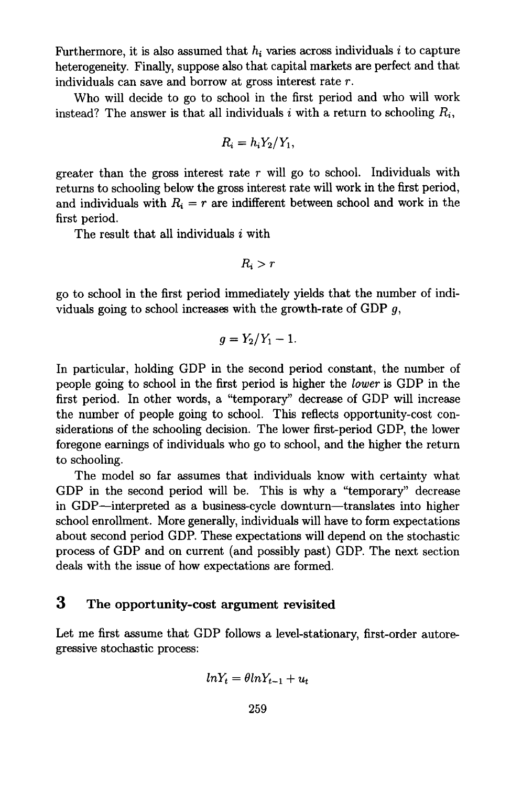Furthermore, it is also assumed that  $h_i$  varies across individuals i to capture heterogeneity. Finally, suppose also that capital markets are perfect and that individuals can save and borrow at gross interest rate r.

Who will decide to go to school in the first period and who will work instead? The answer is that all individuals i with a return to schooling  $R_i$ ,

$$
R_i = h_i Y_2/Y_1,
$$

greater than the gross interest rate  $r$  will go to school. Individuals with returns to schooling below the gross interest rate will work in the first period, and individuals with  $R_i = r$  are indifferent between school and work in the first period.

The result that all individuals i with

$$
R_i > r
$$

go to school in the first period immediately yields that the number of individuals going to school increases with the growth-rate of GDP  $q$ ,

$$
g = Y_2/Y_1 - 1.
$$

In particular, holding GDP in the second period constant, the number of people going to school in the first period is higher the *lower* is GDP in the first period. In other words, a "temporary" decrease of GDP will increase the number of people going to school. This reflects opportunity-cost considerations of the schooling decision. The lower first-period GDP, the lower foregone earnings of individuals who go to school, and the higher the return to schooling.

The model so far assumes that individuals know with certainty what GDP in the second period will be. This is why a "temporary" decrease in GDP--interpreted as a business-cycle downturn--translates into higher school enrollment. More generally, individuals will have to form expectations about second period GDP. These expectations will depend on the stochastic process of GDP and on current (and possibly past) GDP. The next section deals with the issue of how expectations are formed.

# **3 The opportunity-cost argument revisited**

Let me first assume that GDP follows a level-stationary, first-order autoregressive stochastic process:

$$
lnY_t = \theta lnY_{t-1} + u_t
$$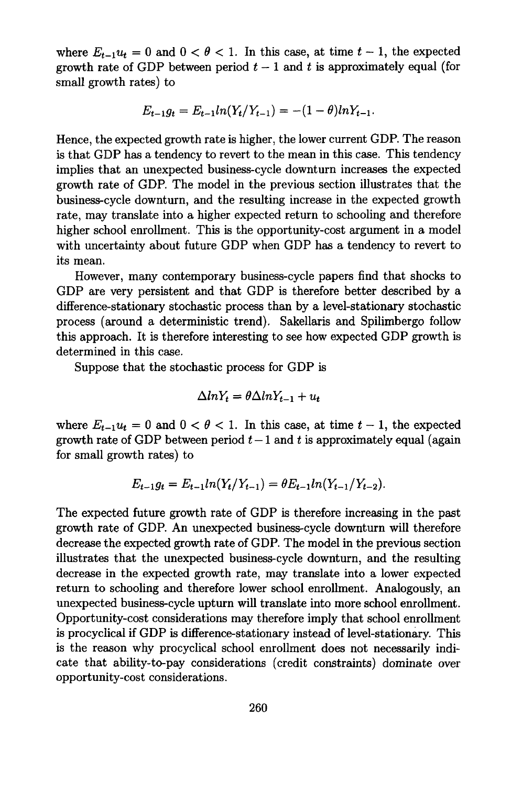where  $E_{t-1}u_t = 0$  and  $0 < \theta < 1$ . In this case, at time  $t-1$ , the expected growth rate of GDP between period  $t-1$  and t is approximately equal (for small growth rates) to

$$
E_{t-1}g_t = E_{t-1}ln(Y_t/Y_{t-1}) = -(1-\theta)lnY_{t-1}.
$$

Hence, the expected growth rate is higher, the lower current GDP. The reason is that GDP has a tendency to revert to the mean in this case. This tendency implies that an unexpected business-cycle downturn increases the expected growth rate of GDP. The model in the previous section illustrates that the business-cycle downturn, and the resulting increase in the expected growth rate, may translate into a higher expected return to schooling and therefore higher school enrollment. This is the opportunity-cost argument in a model with uncertainty about future GDP when GDP has a tendency to revert to its mean.

However, many contemporary business-cycle papers find that shocks to GDP are very persistent and that GDP is therefore better described by a difference-stationary stochastic process than by a level-stationary stochastic process (around a deterministic trend). Sakellaris and Spilimbergo follow this approach. It is therefore interesting to see how expected GDP growth is determined in this case.

Suppose that the stochastic process for GDP is

$$
\Delta ln Y_t = \theta \Delta ln Y_{t-1} + u_t
$$

where  $E_{t-1}u_t = 0$  and  $0 < \theta < 1$ . In this case, at time  $t-1$ , the expected growth rate of GDP between period  $t-1$  and t is approximately equal (again for small growth rates) to

$$
E_{t-1}g_t = E_{t-1}ln(Y_t/Y_{t-1}) = \theta E_{t-1}ln(Y_{t-1}/Y_{t-2}).
$$

The expected future growth rate of GDP is therefore increasing in the past growth rate of GDP. An unexpected business-cycle downturn will therefore decrease the expected growth rate of GDP. The model in the previous section illustrates that the unexpected business-cycle downturn, and the resulting decrease in the expected growth rate, may translate into a lower expected return to schooling and therefore lower school enrollment. Analogously, an unexpected business-cycle upturn will translate into more school enrollment. Opportunity-cost considerations may therefore imply that school enrollment is procyclical if GDP is difference-stationary instead of level-stationary. This is the reason why procyclical school enrollment does not necessarily indicate that ability-to-pay considerations (credit constraints) dominate over opportunity-cost considerations.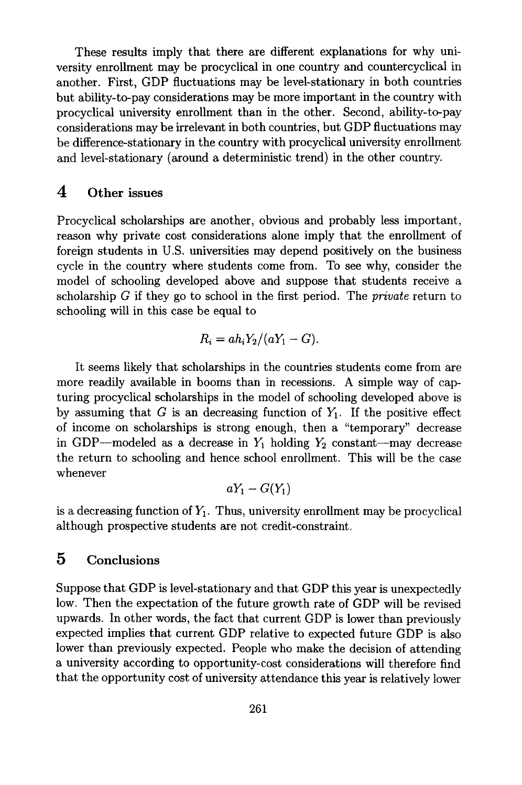These results imply that there are different explanations for why university enrollment may be procyclical in one country and countercyclical in another. First, GDP fluctuations may be level-stationary in both countries but ability-to-pay considerations may be more important in the country with procyclical university enrollment than in the other. Second, ability-to-pay considerations may be irrelevant in both countries, but GDP fluctuations may be difference-stationary in the country with procyclical university enrollment and level-stationary (around a deterministic trend) in the other country.

#### 4 Other **issues**

Procyclical scholarships are another, obvious and probably less important, reason why private cost considerations alone imply that the enrollment of foreign students in U.S. universities may depend positively on the business cycle in the country where students come from. To see why, consider the model of schooling developed above and suppose that students receive a scholarship G if they go to school in the first period. The *private* return to schooling will in this case be equal to

$$
R_i = ah_i Y_2/(aY_1 - G).
$$

It seems likely that scholarships in the countries students come from are more readily available in booms than in recessions. A simple way of capturing procyclical scholarships in the model of schooling developed above is by assuming that G is an decreasing function of  $Y_1$ . If the positive effect of income on scholarships is strong enough, then a "temporary" decrease in GDP---modeled as a decrease in  $Y_1$  holding  $Y_2$  constant---may decrease the return to schooling and hence school enrollment. This will be the case whenever

$$
aY_1-G(Y_1)
$$

is a decreasing function of  $Y_1$ . Thus, university enrollment may be procyclical although prospective students are not credit-constraint.

### 5 Conclusions

Suppose that GDP is level-stationary and that GDP this year is unexpectedly low. Then the expectation of the future growth rate of GDP will be revised upwards. In other words, the fact that current GDP is lower than previously expected implies that current GDP relative to expected future GDP is also lower than previously expected. People who make the decision of attending a university according to opportunity-cost considerations will therefore find that the opportunity cost of university attendance this year is relatively lower